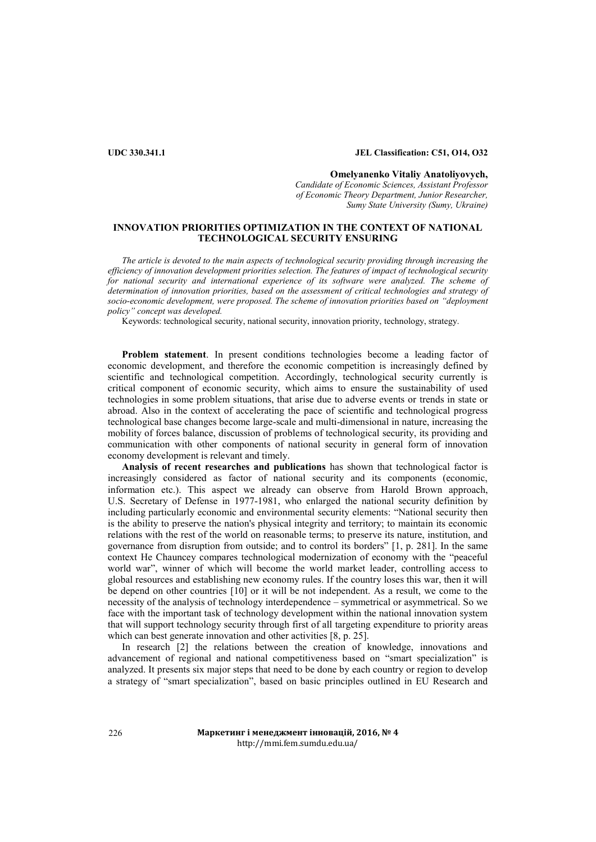## **UDC 330.341.1 JEL Classification: C51, O14, O32**

**Omelyanenko Vitaliy Anatoliyovych,**  *Candidate of Economic Sciences, Assistant Professor of Economic Theory Department, Junior Researcher, Sumy State University (Sumy, Ukraine)*

# **INNOVATION PRIORITIES OPTIMIZATION IN THE CONTEXT OF NATIONAL TECHNOLOGICAL SECURITY ENSURING**

*The article is devoted to the main aspects of technological security providing through increasing the efficiency of innovation development priorities selection. The features of impact of technological security*  for national security and international experience of its software were analyzed. The scheme of *determination of innovation priorities, based on the assessment of critical technologies and strategy of socio-economic development, were proposed. The scheme of innovation priorities based on "deployment policy" concept was developed.* 

Keywords: technological security, national security, innovation priority, technology, strategy.

**Problem statement**. In present conditions technologies become a leading factor of economic development, and therefore the economic competition is increasingly defined by scientific and technological competition. Accordingly, technological security currently is critical component of economic security, which aims to ensure the sustainability of used technologies in some problem situations, that arise due to adverse events or trends in state or abroad. Also in the context of accelerating the pace of scientific and technological progress technological base changes become large-scale and multi-dimensional in nature, increasing the mobility of forces balance, discussion of problems of technological security, its providing and communication with other components of national security in general form of innovation economy development is relevant and timely.

**Analysis of recent researches and publications** has shown that technological factor is increasingly considered as factor of national security and its components (economic, information etc.). This aspect we already can observe from [Harold Brown](https://en.wikipedia.org/wiki/Harold_Brown_(Secretary_of_Defense)) approach, [U.S. Secretary of Defense](https://en.wikipedia.org/wiki/United_States_Secretary_of_Defense) in 1977-1981, who enlarged the national security definition by including particularly economic and environmental security elements: "National security then is the ability to preserve the nation's physical integrity and territory; to maintain its economic relations with the rest of the world on reasonable terms; to preserve its nature, institution, and governance from disruption from outside; and to control its borders" [1, p. 281]. In the same context He Chauncey compares technological modernization of economy with the "peaceful world war", winner of which will become the world market leader, controlling access to global resources and establishing new economy rules. If the country loses this war, then it will be depend on other countries [10] or it will be not independent. As a result, we come to the necessity of the analysis of technology interdependence – symmetrical or asymmetrical. So we face with the important task of technology development within the national innovation system that will support technology security through first of all targeting expenditure to priority areas which can best generate innovation and other activities [8, p. 25].

In research [2] the relations between the creation of knowledge, innovations and advancement of regional and national competitiveness based on "smart specialization" is analyzed. It presents six major steps that need to be done by each country or region to develop a strategy of "smart specialization", based on basic principles outlined in EU Research and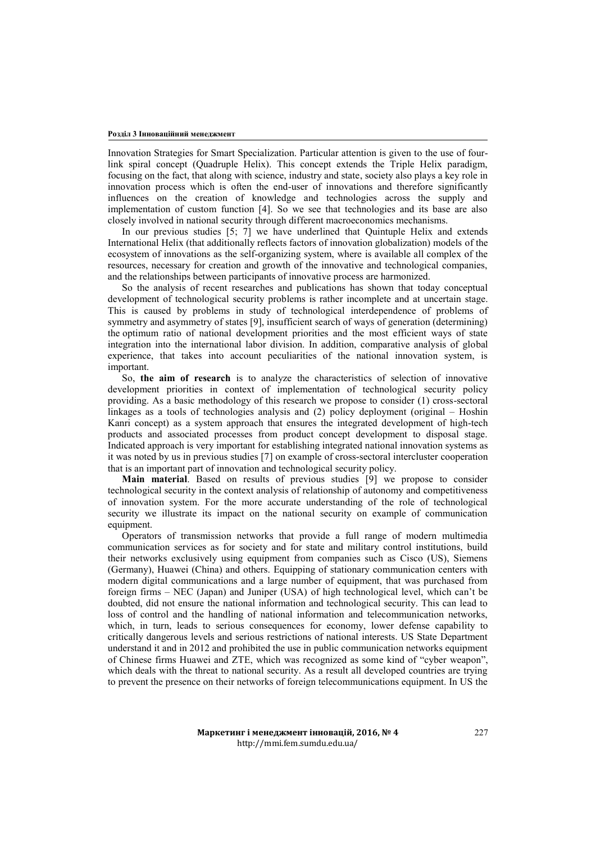Innovation Strategies for Smart Specialization. Particular attention is given to the use of fourlink spiral concept (Quadruple Helix). This concept extends the Triple Helix paradigm, focusing on the fact, that along with science, industry and state, society also plays a key role in innovation process which is often the end-user of innovations and therefore significantly influences on the creation of knowledge and technologies across the supply and implementation of custom function [4]. So we see that technologies and its base are also closely involved in national security through different macroeconomics mechanisms.

In our previous studies [5; 7] we have underlined that Quintuple Helix and extends International Helix (that additionally reflects factors of innovation globalization) models of the ecosystem of innovations as the self-organizing system, where is available all complex of the resources, necessary for creation and growth of the innovative and technological companies, and the relationships between participants of innovative process are harmonized.

So the analysis of recent researches and publications has shown that today conceptual development of technological security problems is rather incomplete and at uncertain stage. This is caused by problems in study of technological interdependence of problems of symmetry and asymmetry of states [9], insufficient search of ways of generation (determining) the optimum ratio of national development priorities and the most efficient ways of state integration into the international labor division. In addition, comparative analysis of global experience, that takes into account peculiarities of the national innovation system, is important.

So, **the aim of research** is to analyze the characteristics of selection of innovative development priorities in context of implementation of technological security policy providing. As a basic methodology of this research we propose to consider (1) cross-sectoral linkages as a tools of technologies analysis and (2) policy deployment (original – Hoshin Kanri concept) as a system approach that ensures the integrated development of high-tech products and associated processes from product concept development to disposal stage. Indicated approach is very important for establishing integrated national innovation systems as it was noted by us in previous studies [7] on example of cross-sectoral intercluster cooperation that is an important part of innovation and technological security policy.

**Main material**. Based on results of previous studies [9] we propose to consider technological security in the context analysis of relationship of autonomy and competitiveness of innovation system. For the more accurate understanding of the role of technological security we illustrate its impact on the national security on example of communication equipment.

Operators of transmission networks that provide a full range of modern multimedia communication services as for society and for state and military control institutions, build their networks exclusively using equipment from companies such as Cisco (US), Siemens (Germany), Huawei (China) and others. Equipping of stationary communication centers with modern digital communications and a large number of equipment, that was purchased from foreign firms – NEC (Japan) and Juniper (USA) of high technological level, which can't be doubted, did not ensure the national information and technological security. This can lead to loss of control and the handling of national information and telecommunication networks, which, in turn, leads to serious consequences for economy, lower defense capability to critically dangerous levels and serious restrictions of national interests. US State Department understand it and in 2012 and prohibited the use in public communication networks equipment of Chinese firms Huawei and ZTE, which was recognized as some kind of "cyber weapon", which deals with the threat to national security. As a result all developed countries are trying to prevent the presence on their networks of foreign telecommunications equipment. In US the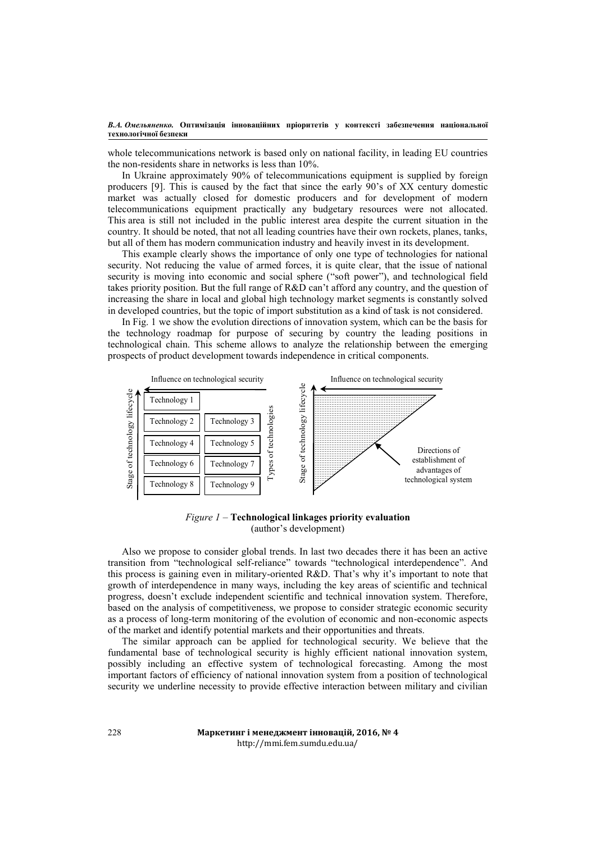### *В.А. Омельяненко.* **Оптимізація інноваційних пріоритетів у контексті забезпечення національної технологічної безпеки**

whole telecommunications network is based only on national facility, in leading EU countries the non-residents share in networks is less than 10%.

In Ukraine approximately 90% of telecommunications equipment is supplied by foreign producers [9]. This is caused by the fact that since the early 90's of XX century domestic market was actually closed for domestic producers and for development of modern telecommunications equipment practically any budgetary resources were not allocated. This area is still not included in the public interest area despite the current situation in the country. It should be noted, that not all leading countries have their own rockets, planes, tanks, but all of them has modern communication industry and heavily invest in its development.

This example clearly shows the importance of only one type of technologies for national security. Not reducing the value of armed forces, it is quite clear, that the issue of national security is moving into economic and social sphere ("soft power"), and technological field takes priority position. But the full range of R&D can't afford any country, and the question of increasing the share in local and global high technology market segments is constantly solved in developed countries, but the topic of import substitution as a kind of task is not considered.

In Fig. 1 we show the evolution directions of innovation system, which can be the basis for the technology roadmap for purpose of securing by country the leading positions in technological chain. This scheme allows to analyze the relationship between the emerging prospects of product development towards independence in critical components.



*Figure 1* – **Technological linkages priority evaluation**  (author's development)

Also we propose to consider global trends. In last two decades there it has been an active transition from "technological self-reliance" towards "technological interdependence". And this process is gaining even in military-oriented R&D. That's why it's important to note that growth of interdependence in many ways, including the key areas of scientific and technical progress, doesn't exclude independent scientific and technical innovation system. Therefore, based on the analysis of competitiveness, we propose to consider strategic economic security as a process of long-term monitoring of the evolution of economic and non-economic aspects of the market and identify potential markets and their opportunities and threats.

The similar approach can be applied for technological security. We believe that the fundamental base of technological security is highly efficient national innovation system, possibly including an effective system of technological forecasting. Among the most important factors of efficiency of national innovation system from a position of technological security we underline necessity to provide effective interaction between military and civilian

> **Маркетинг і менеджмент інновацій, 2016, № 4** http://mmi.fem.sumdu.edu.ua/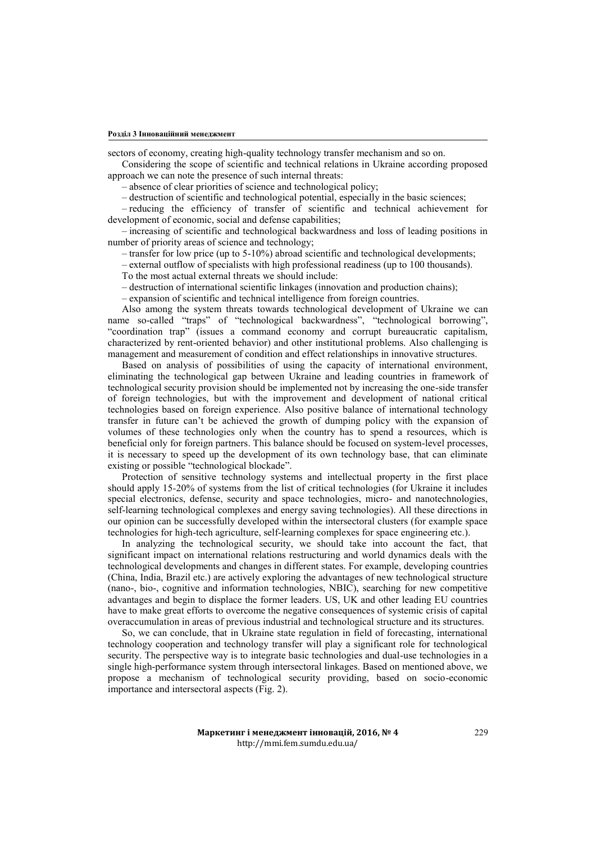sectors of economy, creating high-quality technology transfer mechanism and so on.

Considering the scope of scientific and technical relations in Ukraine according proposed approach we can note the presence of such internal threats:

*–* absence of clear priorities of science and technological policy;

*–* destruction of scientific and technological potential, especially in the basic sciences;

*–* reducing the efficiency of transfer of scientific and technical achievement for development of economic, social and defense capabilities;

*–* increasing of scientific and technological backwardness and loss of leading positions in number of priority areas of science and technology;

*–* transfer for low price (up to 5-10%) abroad scientific and technological developments;

*–* external outflow of specialists with high professional readiness (up to 100 thousands).

To the most actual external threats we should include:

*–* destruction of international scientific linkages (innovation and production chains);

*–* expansion of scientific and technical intelligence from foreign countries.

Also among the system threats towards technological development of Ukraine we can name so-called "traps" of "technological backwardness", "technological borrowing", "coordination trap" (issues a command economy and corrupt bureaucratic capitalism, characterized by rent-oriented behavior) and other institutional problems. Also challenging is management and measurement of condition and effect relationships in innovative structures.

Based on analysis of possibilities of using the capacity of international environment, eliminating the technological gap between Ukraine and leading countries in framework of technological security provision should be implemented not by increasing the one-side transfer of foreign technologies, but with the improvement and development of national critical technologies based on foreign experience. Also positive balance of international technology transfer in future can't be achieved the growth of dumping policy with the expansion of volumes of these technologies only when the country has to spend a resources, which is beneficial only for foreign partners. This balance should be focused on system-level processes, it is necessary to speed up the development of its own technology base, that can eliminate existing or possible "technological blockade".

Protection of sensitive technology systems and intellectual property in the first place should apply 15*-*20% of systems from the list of critical technologies (for Ukraine it includes special electronics, defense, security and space technologies, micro- and nanotechnologies, self-learning technological complexes and energy saving technologies). All these directions in our opinion can be successfully developed within the intersectoral clusters (for example space technologies for high-tech agriculture, self-learning complexes for space engineering etc.).

In analyzing the technological security, we should take into account the fact, that significant impact on international relations restructuring and world dynamics deals with the technological developments and changes in different states. For example, developing countries (China, India, Brazil etc.) are actively exploring the advantages of new technological structure (nano-, bio-, cognitive and information technologies, NBIC), searching for new competitive advantages and begin to displace the former leaders. US, UK and other leading EU countries have to make great efforts to overcome the negative consequences of systemic crisis of capital overaccumulation in areas of previous industrial and technological structure and its structures.

So, we can conclude, that in Ukraine state regulation in field of forecasting, international technology cooperation and technology transfer will play a significant role for technological security. The perspective way is to integrate basic technologies and dual-use technologies in a single high-performance system through intersectoral linkages. Based on mentioned above, we propose a mechanism of technological security providing, based on socio-economic importance and intersectoral aspects (Fig. 2).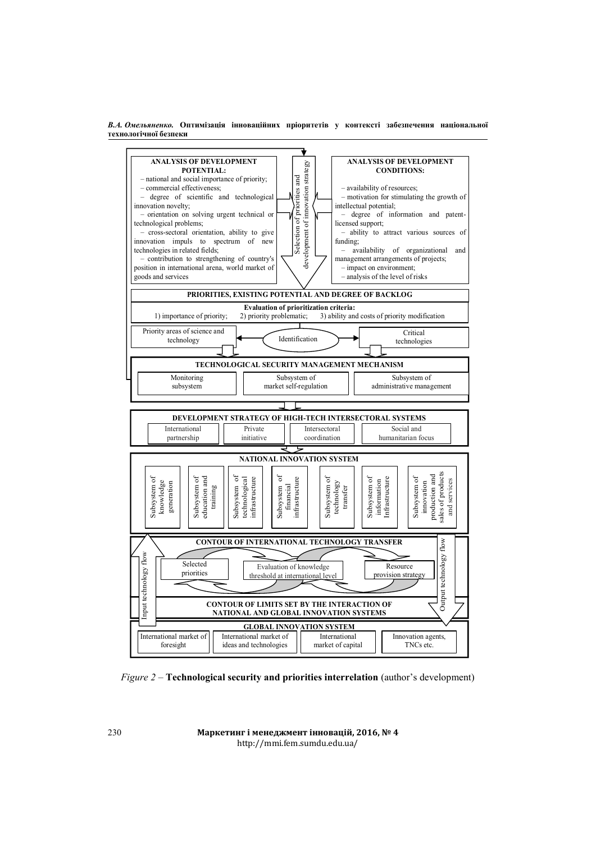*В.А. Омельяненко.* **Оптимізація інноваційних пріоритетів у контексті забезпечення національної технологічної безпеки** 



*Figure 2 –* **Technological security and priorities interrelation** (author's development)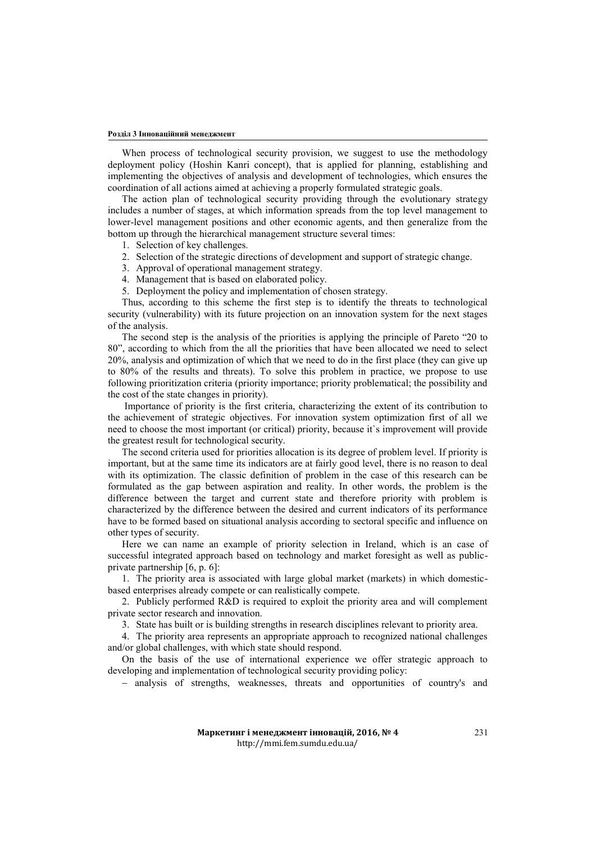#### **Розділ 3 Інноваційний менеджмент**

When process of technological security provision, we suggest to use the methodology deployment policy (Hoshin Kanri concept), that is applied for planning, establishing and implementing the objectives of analysis and development of technologies, which ensures the coordination of all actions aimed at achieving a properly formulated strategic goals.

The action plan of technological security providing through the evolutionary strategy includes a number of stages, at which information spreads from the top level management to lower-level management positions and other economic agents, and then generalize from the bottom up through the hierarchical management structure several times:

- 1. Selection of key challenges.
- 2. Selection of the strategic directions of development and support of strategic change.
- 3. Approval of operational management strategy.
- 4. Management that is based on elaborated policy.
- 5. Deployment the policy and implementation of chosen strategy.

Thus, according to this scheme the first step is to identify the threats to technological security (vulnerability) with its future projection on an innovation system for the next stages of the analysis.

The second step is the analysis of the priorities is applying the principle of Pareto "20 to 80", according to which from the all the priorities that have been allocated we need to select 20%, analysis and optimization of which that we need to do in the first place (they can give up to 80% of the results and threats). To solve this problem in practice, we propose to use following prioritization criteria (priority importance; priority problematical; the possibility and the cost of the state changes in priority).

 Importance of priority is the first criteria, characterizing the extent of its contribution to the achievement of strategic objectives. For innovation system optimization first of all we need to choose the most important (or critical) priority, because it`s improvement will provide the greatest result for technological security.

The second criteria used for priorities allocation is its degree of problem level. If priority is important, but at the same time its indicators are at fairly good level, there is no reason to deal with its optimization. The classic definition of problem in the case of this research can be formulated as the gap between aspiration and reality. In other words, the problem is the difference between the target and current state and therefore priority with problem is characterized by the difference between the desired and current indicators of its performance have to be formed based on situational analysis according to sectoral specific and influence on other types of security.

Here we can name an example of priority selection in Ireland, which is an case of successful integrated approach based on technology and market foresight as well as publicprivate partnership [6, p. 6]:

1. The priority area is associated with large global market (markets) in which domesticbased enterprises already compete or can realistically compete.

2. Publicly performed R&D is required to exploit the priority area and will complement private sector research and innovation.

3. State has built or is building strengths in research disciplines relevant to priority area.

4. The priority area represents an appropriate approach to recognized national challenges and/or global challenges, with which state should respond.

On the basis of the use of international experience we offer strategic approach to developing and implementation of technological security providing policy:

- analysis of strengths, weaknesses, threats and opportunities of country's and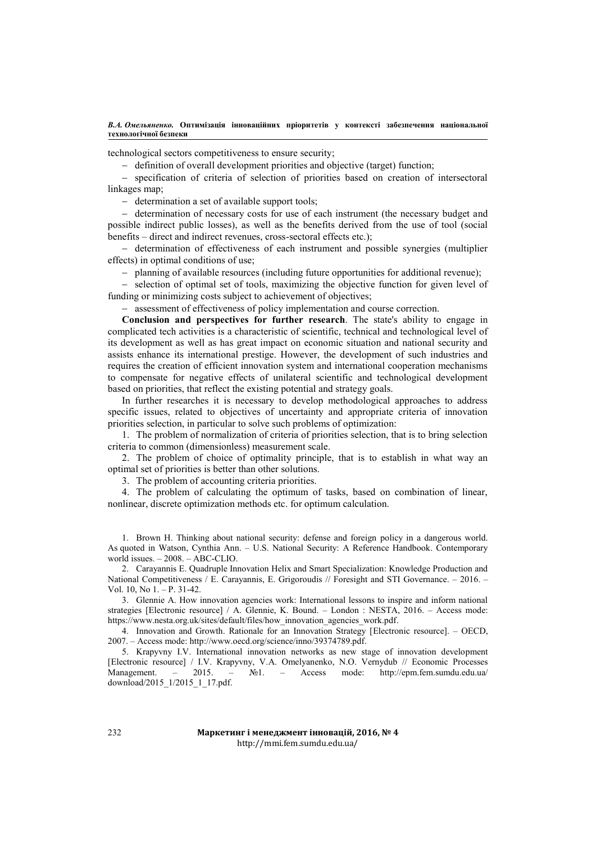*В.А. Омельяненко.* **Оптимізація інноваційних пріоритетів у контексті забезпечення національної технологічної безпеки** 

technological sectors competitiveness to ensure security;

- definition of overall development priorities and objective (target) function;

- specification of criteria of selection of priorities based on creation of intersectoral linkages map;

- determination a set of available support tools;

- determination of necessary costs for use of each instrument (the necessary budget and possible indirect public losses), as well as the benefits derived from the use of tool (social benefits – direct and indirect revenues, cross-sectoral effects etc.);

- determination of effectiveness of each instrument and possible synergies (multiplier effects) in optimal conditions of use;

planning of available resources (including future opportunities for additional revenue);

- selection of optimal set of tools, maximizing the objective function for given level of funding or minimizing costs subject to achievement of objectives;

assessment of effectiveness of policy implementation and course correction.

**Conclusion and perspectives for further research**. The state's ability to engage in complicated tech activities is a characteristic of scientific, technical and technological level of its development as well as has great impact on economic situation and national security and assists enhance its international prestige. However, the development of such industries and requires the creation of efficient innovation system and international cooperation mechanisms to compensate for negative effects of unilateral scientific and technological development based on priorities, that reflect the existing potential and strategy goals.

In further researches it is necessary to develop methodological approaches to address specific issues, related to objectives of uncertainty and appropriate criteria of innovation priorities selection, in particular to solve such problems of optimization:

1. The problem of normalization of criteria of priorities selection, that is to bring selection criteria to common (dimensionless) measurement scale.

2. The problem of choice of optimality principle, that is to establish in what way an optimal set of priorities is better than other solutions.

3. The problem of accounting criteria priorities.

4. The problem of calculating the optimum of tasks, based on combination of linear, nonlinear, discrete optimization methods etc. for optimum calculation.

1. Brown H. Thinking about national security: defense and foreign policy in a dangerous world. As quoted in Watson, Cynthia Ann. – [U.S. National Security: A Reference Handbook.](https://books.google.com/books?id=KnlIR4YO2vsC) Contemporary world issues. – 2008. – ABC-CLIO.

2. Carayannis E. Quadruple Innovation Helix and Smart Specialization: Knowledge Production and National Competitiveness / E. Carayannis, E. Grigoroudis // Foresight and STI Governance. – 2016. – Vol. 10, No 1. – P. 31-42.

3. Glennie A. How innovation agencies work: International lessons to inspire and inform national strategies [Electronic resource] / A. Glennie, K. Bound. – London : NESTA, 2016. – Access mode: [https://www.nesta.org.uk/sites/default/files/how\\_innovation\\_agencies\\_work.pdf.](https://www.nesta.org.uk/sites/default/files/how_innovation_agencies_work.pdf)

4. Innovation and Growth. Rationale for an Innovation Strategy [Electronic resource]. – OECD, 2007. – Access mode: http://www.oecd.org/science/inno/39374789.pdf.

5. Krapyvny I.V. International innovation networks as new stage of innovation development [Electronic resource] / I.V. Krapyvny, V.A. Omelyanenko, N.O. Vernydub // Economic Processes Management. – 2015. – №1. – Access mode: http://epm.fem.sumdu.edu.ua/ download/2015\_1/2015\_1\_17.pdf.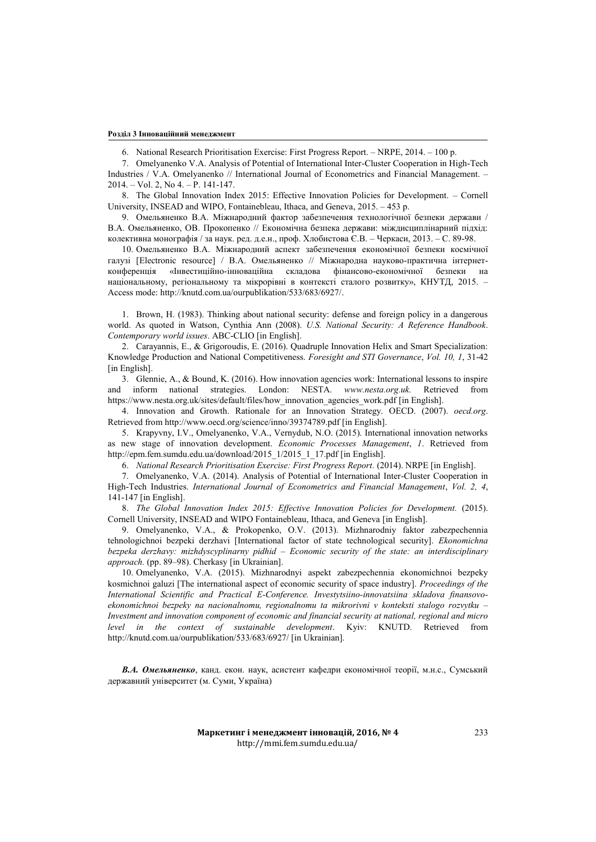#### **Розділ 3 Інноваційний менеджмент**

6. National Research Prioritisation Exercise: First Progress Report. – NRPE, 2014. – 100 p.

7. Omelyanenko V.A. Analysis of Potential of International Inter-Cluster Cooperation in High-Tech Industries / V.A. Omelyanenko // International Journal of Econometrics and Financial Management. – 2014. – Vol. 2, No 4. – P. 141-147.

8. The Global Innovation Index 2015: Effective Innovation Policies for Development. – Cornell University, INSEAD and WIPO, Fontainebleau, Ithaca, and Geneva, 2015. – 453 p.

9. Омельяненко В.А. Міжнародний фактор забезпечення технологічної безпеки держави / В.А. Омельяненко, ОВ. Прокопенко // Економічна безпека держави: міждисциплінарний підхід: колективна монографія / за наук. ред. д.е.н., проф. Хлобистова Є.В. – Черкаси, 2013. – С. 89-98.

10. Омельяненко В.А. Міжнародний аспект забезпечення економічної безпеки космічної галузі [Electronic resource] / В.А. Омельяненко // Міжнародна науково-практична інтернетконференція «Інвестиційно-інноваційна складова фінансово-економічної безпеки на національному, регіональному та мікрорівні в контексті сталого розвитку», КНУТД, 2015. – Access mode: http://knutd.com.ua/ourpublikation/533/683/6927/.

1. Brown, H. (1983). Thinking about national security: defense and foreign policy in a dangerous world. As quoted in Watson, Cynthia Ann (2008). *[U.S. National Security: A Reference Handbook](https://books.google.com/books?id=KnlIR4YO2vsC)*. *Contemporary world issues*. ABC-CLIO [in English].

2. Carayannis, E., & Grigoroudis, E. (2016). Quadruple Innovation Helix and Smart Specialization: Knowledge Production and National Competitiveness. *Foresight and STI Governance*, *Vol. 10, 1*, 31-42 [in English].

3. Glennie, A., & Bound, K. (2016). How innovation agencies work: International lessons to inspire and inform national strategies. London: NESTA. *www.nesta.org.uk.* Retrieved from [https://www.nesta.org.uk/sites/default/files/how\\_innovation\\_agencies\\_work.pdf](https://www.nesta.org.uk/sites/default/files/how_innovation_agencies_work.pdf) [in English].

4. Innovation and Growth. Rationale for an Innovation Strategy. OECD. (2007). *oecd.org*. Retrieved from http://www.oecd.org/science/inno/39374789.pdf [in English].

5. Krapyvny, I.V., Omelyanenko, V.A., Vernydub, N.O. (2015). International innovation networks as new stage of innovation development. *Economic Processes Management*, *1*. Retrieved from [http://epm.fem.sumdu.edu.ua/download/2015\\_1/2015\\_1\\_17.pdf](http://epm.fem.sumdu.edu.ua/download/2015_1/2015_1_17.pdf) [in English].

6. *National Research Prioritisation Exercise: First Progress Report.* (2014). NRPE [in English].

7. Omelyanenko, V.A. (2014). Analysis of Potential of International Inter-Cluster Cooperation in High-Tech Industries. *International Journal of Econometrics and Financial Management*, *Vol. 2, 4*, 141-147 [in English].

8. *The Global Innovation Index 2015: Effective Innovation Policies for Development.* (2015). Cornell University, INSEAD and WIPO Fontainebleau, Ithaca, and Geneva [in English].

9. Omelyanenko, V.A., & Prokopenko, O.V. (2013). Mizhnarodniy faktor zabezpechennia tehnologichnoi bezpeki derzhavi [International factor of state technological security]. *Ekonomichna bezpeka derzhavy: mizhdyscyplinarny pidhid – Economic security of the state: an interdisciplinary approach.* (pp. 89–98). Cherkasy [in Ukrainian].

10. Omelyanenko, V.A. (2015). Mizhnarodnyi aspekt zabezpechennia ekonomichnoi bezpeky kosmichnoi galuzi [The international aspect of economic security of space industry]. *Proceedings of the International Scientific and Practical E-Conference. Investytsiino-innovatsiina skladova finansovoekonomichnoi bezpeky na nacionalnomu, regionalnomu ta mikrorivni v konteksti stalogo rozvytku – Investment and innovation component of economic and financial security at national, regional and micro level in the context of sustainable development*. Kyiv: KNUTD. Retrieved from <http://knutd.com.ua/ourpublikation/533/683/6927/>[in Ukrainian].

*В.А. Омельяненко*, канд. екон. наук, асистент кафедри економічної теорії, м.н.с., Сумський державний університет (м. Суми, Україна)

> **Маркетинг і менеджмент інновацій, 2016, № 4** http://mmi.fem.sumdu.edu.ua/